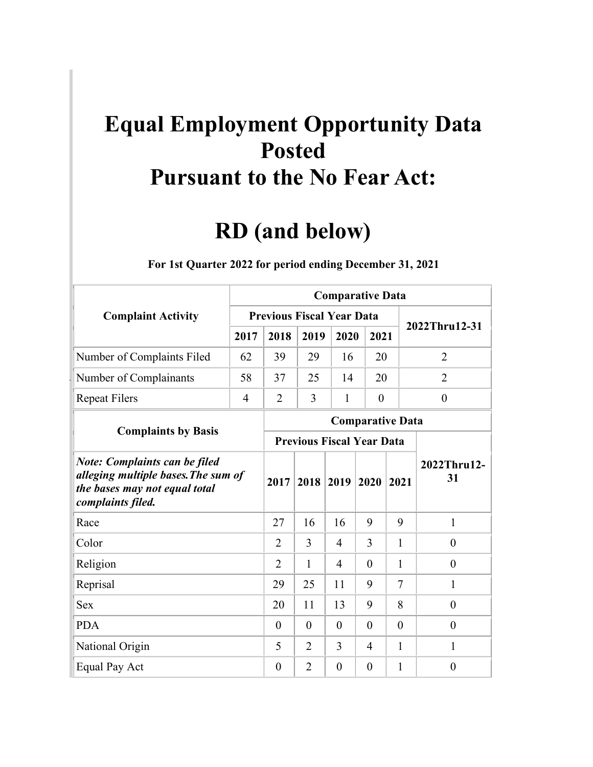## **Equal Employment Opportunity Data Posted Pursuant to the No Fear Act:**

## **RD (and below)**

|                                                                                                                                   |                | <b>Comparative Data</b>          |                |                         |                  |                |                   |  |  |  |  |  |  |
|-----------------------------------------------------------------------------------------------------------------------------------|----------------|----------------------------------|----------------|-------------------------|------------------|----------------|-------------------|--|--|--|--|--|--|
| <b>Complaint Activity</b>                                                                                                         |                | <b>Previous Fiscal Year Data</b> |                |                         |                  |                |                   |  |  |  |  |  |  |
|                                                                                                                                   | 2017           | 2018                             | 2019           | 2020                    | 2021             |                | 2022Thru12-31     |  |  |  |  |  |  |
| Number of Complaints Filed                                                                                                        | 62             | 39                               | 29             | 16                      | 20               |                | $\overline{2}$    |  |  |  |  |  |  |
| Number of Complainants                                                                                                            | 58             | 37                               | 25             | 14                      | 20               |                | 2                 |  |  |  |  |  |  |
| <b>Repeat Filers</b>                                                                                                              | $\overline{4}$ | $\overline{2}$                   | $\overline{3}$ | $\mathbf{1}$            | $\boldsymbol{0}$ |                | $\boldsymbol{0}$  |  |  |  |  |  |  |
|                                                                                                                                   |                |                                  |                | <b>Comparative Data</b> |                  |                |                   |  |  |  |  |  |  |
| <b>Complaints by Basis</b>                                                                                                        |                | <b>Previous Fiscal Year Data</b> |                |                         |                  |                |                   |  |  |  |  |  |  |
| <b>Note: Complaints can be filed</b><br>alleging multiple bases. The sum of<br>the bases may not equal total<br>complaints filed. |                |                                  | 2018           | 2019                    | 2020             | 2021           | 2022Thru12-<br>31 |  |  |  |  |  |  |
| Race                                                                                                                              |                | 27                               | 16             | 16                      | 9                | 9              | 1                 |  |  |  |  |  |  |
| Color                                                                                                                             |                | $\overline{2}$                   | 3              | $\overline{4}$          | 3                | 1              | $\boldsymbol{0}$  |  |  |  |  |  |  |
| Religion                                                                                                                          |                | $\overline{2}$                   | 1              | $\overline{4}$          | $\theta$         | 1              | $\theta$          |  |  |  |  |  |  |
| Reprisal                                                                                                                          |                | 29                               | 25             | 11                      | 9                | 7              | 1                 |  |  |  |  |  |  |
| Sex                                                                                                                               |                | 20                               | 11             | 13                      | 9                | 8              | $\theta$          |  |  |  |  |  |  |
| <b>PDA</b>                                                                                                                        |                | $\overline{0}$                   | $\theta$       | $\theta$                | $\overline{0}$   | $\overline{0}$ | $\theta$          |  |  |  |  |  |  |
| National Origin                                                                                                                   |                | 5                                | $\overline{2}$ | $\overline{3}$          | $\overline{4}$   | 1              | 1                 |  |  |  |  |  |  |
| Equal Pay Act                                                                                                                     |                | $\theta$                         | $\overline{2}$ | $\theta$                | $\theta$         | 1              | $\overline{0}$    |  |  |  |  |  |  |

## 1B**For 1st Quarter 2022 for period ending December 31, 2021**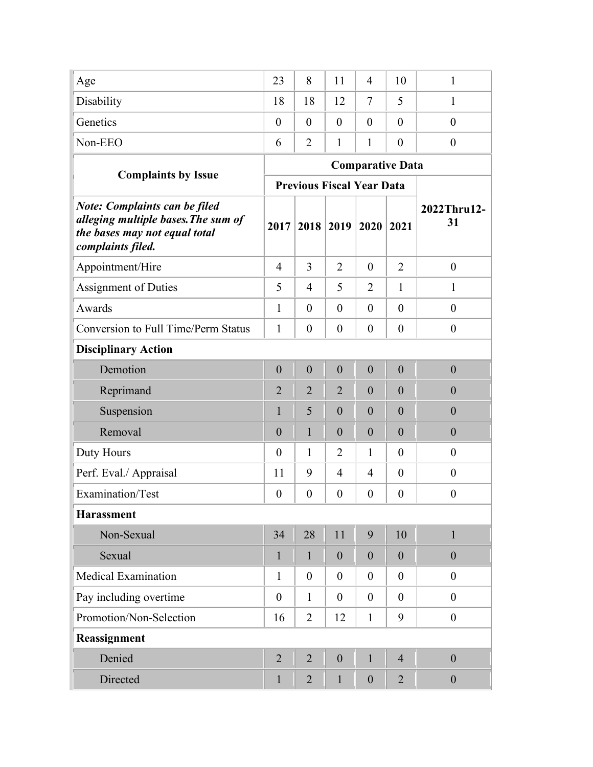| Age                                                                                                                               | 23               | 8                                | 11               | $\overline{4}$          | 10               | $\mathbf{1}$      |
|-----------------------------------------------------------------------------------------------------------------------------------|------------------|----------------------------------|------------------|-------------------------|------------------|-------------------|
| Disability                                                                                                                        | 18               | 18                               | 12               | $\tau$                  | 5                | $\mathbf{1}$      |
| Genetics                                                                                                                          | $\theta$         | $\theta$                         | $\theta$         | $\theta$                | $\overline{0}$   | $\theta$          |
| Non-EEO                                                                                                                           | 6                | $\overline{2}$                   | $\mathbf{1}$     | 1                       | $\boldsymbol{0}$ | $\overline{0}$    |
|                                                                                                                                   |                  |                                  |                  | <b>Comparative Data</b> |                  |                   |
| <b>Complaints by Issue</b>                                                                                                        |                  | <b>Previous Fiscal Year Data</b> |                  |                         |                  |                   |
| <b>Note: Complaints can be filed</b><br>alleging multiple bases. The sum of<br>the bases may not equal total<br>complaints filed. | 2017             | 2018                             | $ 2019$          | 2020                    | 2021             | 2022Thru12-<br>31 |
| Appointment/Hire                                                                                                                  | $\overline{4}$   | 3                                | $\overline{2}$   | $\overline{0}$          | $\overline{2}$   | $\boldsymbol{0}$  |
| Assignment of Duties                                                                                                              | 5                | $\overline{4}$                   | 5                | $\overline{2}$          | $\mathbf{1}$     | $\mathbf{1}$      |
| Awards                                                                                                                            | $\mathbf{1}$     | $\theta$                         | $\theta$         | $\overline{0}$          | $\theta$         | $\overline{0}$    |
| <b>Conversion to Full Time/Perm Status</b>                                                                                        | $\mathbf{1}$     | $\theta$                         | $\overline{0}$   | $\overline{0}$          | $\theta$         | $\boldsymbol{0}$  |
| <b>Disciplinary Action</b>                                                                                                        |                  |                                  |                  |                         |                  |                   |
| Demotion                                                                                                                          | $\mathbf{0}$     | $\mathbf{0}$                     | $\mathbf{0}$     | $\mathbf{0}$            | $\boldsymbol{0}$ | $\mathbf{0}$      |
| Reprimand                                                                                                                         | $\overline{2}$   | $\overline{2}$                   | $\overline{2}$   | $\overline{0}$          | $\overline{0}$   | $\overline{0}$    |
| Suspension                                                                                                                        | 1                | 5                                | $\overline{0}$   | $\overline{0}$          | $\theta$         | $\overline{0}$    |
| Removal                                                                                                                           | $\overline{0}$   | $\mathbf{1}$                     | $\overline{0}$   | $\overline{0}$          | $\overline{0}$   | $\theta$          |
| Duty Hours                                                                                                                        | $\theta$         | 1                                | $\overline{2}$   | $\mathbf{1}$            | $\theta$         | $\theta$          |
| Perf. Eval./ Appraisal                                                                                                            | 11               | 9                                | $\overline{4}$   | $\overline{4}$          | $\theta$         | $\boldsymbol{0}$  |
| Examination/Test                                                                                                                  | $\boldsymbol{0}$ | $\boldsymbol{0}$                 | $\boldsymbol{0}$ | $\boldsymbol{0}$        | $\boldsymbol{0}$ | $\boldsymbol{0}$  |
| <b>Harassment</b>                                                                                                                 |                  |                                  |                  |                         |                  |                   |
| Non-Sexual                                                                                                                        | 34               | 28                               | 11               | 9                       | 10               | $\mathbf{1}$      |
| Sexual                                                                                                                            | $\mathbf{1}$     | $\mathbf{1}$                     | $\mathbf{0}$     | $\boldsymbol{0}$        | $\mathbf{0}$     | $\boldsymbol{0}$  |
| <b>Medical Examination</b>                                                                                                        | $\mathbf{1}$     | $\theta$                         | $\boldsymbol{0}$ | $\theta$                | $\overline{0}$   | $\boldsymbol{0}$  |
| Pay including overtime                                                                                                            | $\boldsymbol{0}$ | $\mathbf{1}$                     | $\overline{0}$   | $\mathbf{0}$            | $\theta$         | $\boldsymbol{0}$  |
| Promotion/Non-Selection                                                                                                           | 16               | $\overline{2}$                   | 12               | $\mathbf{1}$            | 9                | $\boldsymbol{0}$  |
| Reassignment                                                                                                                      |                  |                                  |                  |                         |                  |                   |
| Denied                                                                                                                            | $\overline{2}$   | $\overline{2}$                   | $\boldsymbol{0}$ | $\mathbf{1}$            | $\overline{4}$   | $\boldsymbol{0}$  |
| Directed                                                                                                                          | $\mathbf{1}$     | $\overline{2}$                   | $\mathbf{1}$     | $\mathbf{0}$            | $\overline{2}$   | $\boldsymbol{0}$  |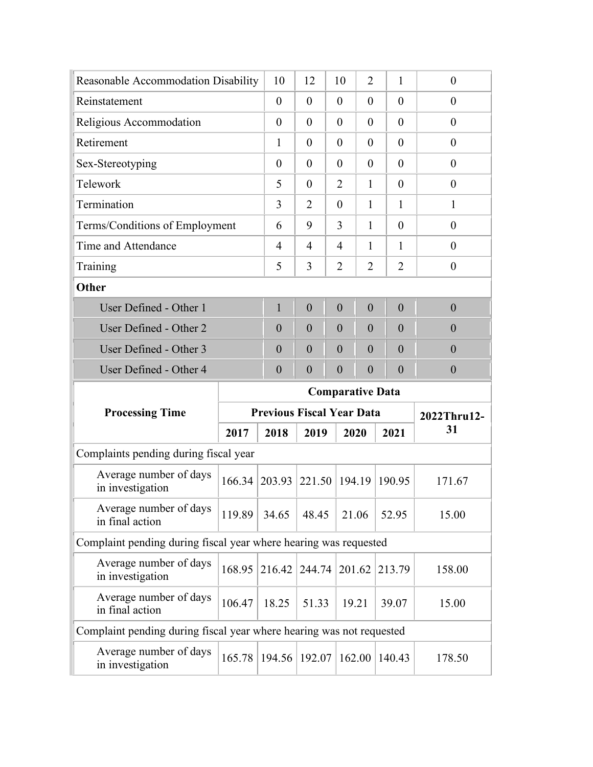| Reasonable Accommodation Disability                                  |                         | 10                               | 12               | 10             | $\overline{2}$ | $\mathbf{1}$     | $\overline{0}$   |  |  |  |
|----------------------------------------------------------------------|-------------------------|----------------------------------|------------------|----------------|----------------|------------------|------------------|--|--|--|
| Reinstatement                                                        |                         | $\overline{0}$                   | $\theta$         | $\theta$       | $\theta$       | $\theta$         | $\theta$         |  |  |  |
| Religious Accommodation                                              |                         | $\theta$                         | $\theta$         | $\theta$       | $\theta$       | $\theta$         | $\theta$         |  |  |  |
| Retirement                                                           |                         | $\mathbf{1}$                     | $\theta$         | $\theta$       | $\theta$       | $\theta$         | $\theta$         |  |  |  |
| Sex-Stereotyping                                                     |                         | $\theta$                         | $\theta$         | $\theta$       | $\theta$       | $\theta$         | $\overline{0}$   |  |  |  |
| Telework                                                             |                         | 5                                | $\theta$         | $\overline{2}$ | $\mathbf{1}$   | $\theta$         | $\theta$         |  |  |  |
| Termination                                                          |                         | 3                                | 2                | $\theta$       | $\mathbf{1}$   | 1                | 1                |  |  |  |
| Terms/Conditions of Employment                                       |                         | 6                                | 9                | 3              | 1              | $\theta$         | $\overline{0}$   |  |  |  |
| Time and Attendance                                                  |                         | 4                                | 4                | 4              | 1              | 1                | $\theta$         |  |  |  |
| Training                                                             |                         | 5                                | 3                | $\overline{2}$ | $\overline{2}$ | $\overline{2}$   | $\boldsymbol{0}$ |  |  |  |
| Other                                                                |                         |                                  |                  |                |                |                  |                  |  |  |  |
| User Defined - Other 1                                               |                         | $\mathbf{1}$                     | $\overline{0}$   | $\overline{0}$ | $\overline{0}$ | $\overline{0}$   | $\overline{0}$   |  |  |  |
| User Defined - Other 2                                               |                         | $\overline{0}$                   | $\overline{0}$   | $\theta$       | $\overline{0}$ | $\theta$         | $\overline{0}$   |  |  |  |
| User Defined - Other 3                                               |                         | $\overline{0}$                   | $\overline{0}$   | $\theta$       | $\overline{0}$ | $\theta$         | $\overline{0}$   |  |  |  |
| User Defined - Other 4                                               |                         | $\boldsymbol{0}$                 | $\boldsymbol{0}$ | $\overline{0}$ |                | $\boldsymbol{0}$ | $\mathbf{0}$     |  |  |  |
|                                                                      | <b>Comparative Data</b> |                                  |                  |                |                |                  |                  |  |  |  |
|                                                                      |                         |                                  |                  |                |                |                  |                  |  |  |  |
| <b>Processing Time</b>                                               |                         | <b>Previous Fiscal Year Data</b> |                  |                |                |                  | 2022Thru12-      |  |  |  |
|                                                                      | 2017                    | 2018                             | 2019             | 2020           |                | 2021             | 31               |  |  |  |
| Complaints pending during fiscal year                                |                         |                                  |                  |                |                |                  |                  |  |  |  |
| Average number of days<br>in investigation                           | 166.34                  | 203.93                           | 221.50           | 194.19         |                | 190.95           | 171.67           |  |  |  |
| Average number of days<br>in final action                            | 119.89                  | 34.65                            | 48.45            | 21.06          |                | 52.95            | 15.00            |  |  |  |
| Complaint pending during fiscal year where hearing was requested     |                         |                                  |                  |                |                |                  |                  |  |  |  |
| Average number of days<br>in investigation                           | 168.95                  | 216.42                           | 244.74           | 201.62         |                | 213.79           | 158.00           |  |  |  |
| Average number of days<br>in final action                            | 106.47                  | 18.25                            | 51.33            | 19.21          |                | 39.07            | 15.00            |  |  |  |
| Complaint pending during fiscal year where hearing was not requested |                         |                                  |                  |                |                |                  |                  |  |  |  |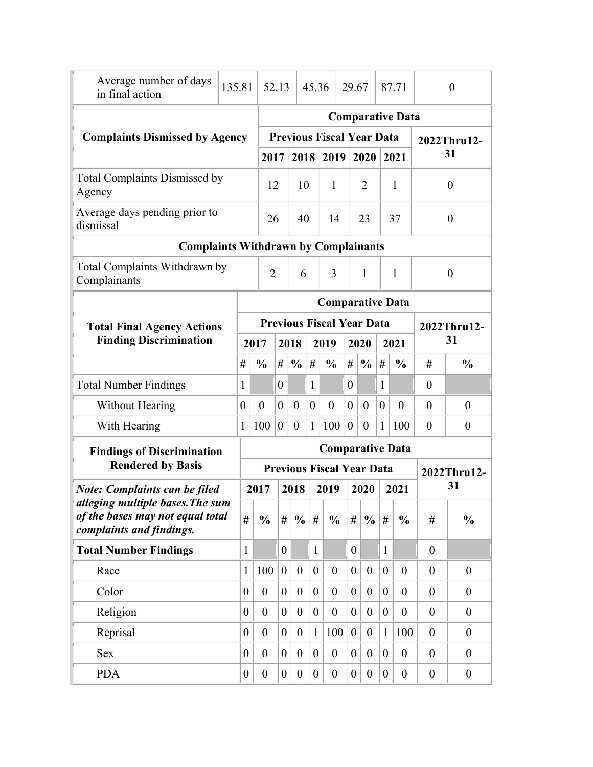| Average number of days<br>in final action                                                        | 135.81 |                                             | 52.13            |                  |                  | 45.36            |                                  | 29.67            |                  |                  | 87.71                   |                  | $\theta$         |  |
|--------------------------------------------------------------------------------------------------|--------|---------------------------------------------|------------------|------------------|------------------|------------------|----------------------------------|------------------|------------------|------------------|-------------------------|------------------|------------------|--|
|                                                                                                  |        |                                             |                  |                  |                  |                  |                                  |                  |                  |                  | <b>Comparative Data</b> |                  |                  |  |
| <b>Complaints Dismissed by Agency</b>                                                            |        |                                             |                  |                  |                  |                  | <b>Previous Fiscal Year Data</b> |                  |                  |                  |                         |                  | 2022Thru12-      |  |
|                                                                                                  |        |                                             | 2017             |                  | 2018             |                  | 2019                             |                  | 2020             |                  | 2021                    |                  | 31               |  |
| <b>Total Complaints Dismissed by</b><br>Agency                                                   |        |                                             | 12               |                  | 10               |                  | 1                                |                  | 2                |                  | $\mathbf{1}$            |                  | $\overline{0}$   |  |
| Average days pending prior to<br>dismissal                                                       |        |                                             | 26               |                  | 40               |                  | 14                               |                  | 23               |                  | 37                      |                  | $\boldsymbol{0}$ |  |
|                                                                                                  |        | <b>Complaints Withdrawn by Complainants</b> |                  |                  |                  |                  |                                  |                  |                  |                  |                         |                  |                  |  |
| Total Complaints Withdrawn by<br>Complainants                                                    |        |                                             | $\overline{2}$   |                  | 6                |                  | 3                                |                  | 1                |                  | 1                       |                  | $\theta$         |  |
|                                                                                                  |        |                                             |                  |                  |                  |                  | <b>Comparative Data</b>          |                  |                  |                  |                         |                  |                  |  |
| <b>Total Final Agency Actions</b>                                                                |        |                                             |                  |                  |                  |                  | <b>Previous Fiscal Year Data</b> |                  |                  |                  |                         |                  | 2022Thru12-      |  |
| <b>Finding Discrimination</b>                                                                    |        | 2017                                        |                  |                  | 2018             |                  | 2019                             |                  | 2020             |                  | 2021                    | 31               |                  |  |
|                                                                                                  |        | #                                           | $\frac{0}{0}$    | #                | $\frac{6}{9}$    | #                | $\frac{0}{0}$                    | #                | $\frac{6}{6}$    | #                | $\frac{0}{0}$           | #                | $\frac{0}{0}$    |  |
| <b>Total Number Findings</b>                                                                     |        | $\mathbf{1}$                                |                  | $\overline{0}$   |                  | $\mathbf{1}$     |                                  | $\boldsymbol{0}$ |                  | 1                |                         | $\theta$         |                  |  |
| Without Hearing                                                                                  |        | $\theta$                                    | $\overline{0}$   | $\overline{0}$   | $\overline{0}$   | $\overline{0}$   | $\boldsymbol{0}$                 | $\overline{0}$   | $\theta$         | $\overline{0}$   | $\overline{0}$          | $\overline{0}$   | $\overline{0}$   |  |
| With Hearing                                                                                     |        | $\mathbf{1}$                                | 100              | $\boldsymbol{0}$ | $\boldsymbol{0}$ | $\mathbf{1}$     | 100                              | $\overline{0}$   | $\boldsymbol{0}$ | 1                | 100                     | $\theta$         | $\boldsymbol{0}$ |  |
| <b>Findings of Discrimination</b>                                                                |        |                                             |                  |                  |                  |                  | <b>Comparative Data</b>          |                  |                  |                  |                         |                  |                  |  |
| <b>Rendered by Basis</b>                                                                         |        |                                             |                  |                  |                  |                  | <b>Previous Fiscal Year Data</b> |                  |                  |                  |                         |                  | 2022Thru12-      |  |
| <b>Note: Complaints can be filed</b>                                                             |        |                                             | 2017             |                  | 2018             |                  | 2019                             |                  | 2020             |                  | 2021                    |                  | 31               |  |
| alleging multiple bases. The sum<br>of the bases may not equal total<br>complaints and findings. |        | #                                           | $\frac{0}{0}$    | #                | $\frac{0}{0}$    | #                | $\frac{0}{0}$                    | #                | $\frac{0}{0}$    | #                | $\frac{0}{0}$           | #                | $\frac{0}{0}$    |  |
| <b>Total Number Findings</b>                                                                     |        | 1                                           |                  | $\overline{0}$   |                  | $\mathbf{1}$     |                                  | $\overline{0}$   |                  | $\mathbf{1}$     |                         | $\overline{0}$   |                  |  |
| Race                                                                                             |        | 1                                           | 100              | $\boldsymbol{0}$ | $\overline{0}$   | $\theta$         | $\overline{0}$                   | $\overline{0}$   | $\overline{0}$   | $\boldsymbol{0}$ | $\mathbf{0}$            | $\overline{0}$   | $\mathbf{0}$     |  |
| Color                                                                                            |        | $\theta$                                    | $\boldsymbol{0}$ | $\boldsymbol{0}$ | $\overline{0}$   | $\overline{0}$   | $\overline{0}$                   | $\theta$         | $\theta$         | $\overline{0}$   | $\overline{0}$          | $\theta$         | $\boldsymbol{0}$ |  |
| Religion                                                                                         |        | $\theta$                                    | $\overline{0}$   | $\boldsymbol{0}$ | $\overline{0}$   | $\theta$         | $\overline{0}$                   | $\overline{0}$   | $\theta$         | $\overline{0}$   | $\overline{0}$          | $\theta$         | $\theta$         |  |
| Reprisal                                                                                         |        | $\theta$                                    | $\overline{0}$   | $\overline{0}$   | $\overline{0}$   | $\mathbf{1}$     | 100                              | $\overline{0}$   | $\theta$         | $\mathbf{1}$     | 100                     | $\theta$         | $\theta$         |  |
| <b>Sex</b>                                                                                       |        | $\theta$                                    | $\boldsymbol{0}$ | $\boldsymbol{0}$ | $\overline{0}$   | $\theta$         | $\overline{0}$                   | $\theta$         | $\theta$         | $\overline{0}$   | $\overline{0}$          | $\boldsymbol{0}$ | $\theta$         |  |
| <b>PDA</b>                                                                                       |        | $\boldsymbol{0}$                            | $\boldsymbol{0}$ | $\boldsymbol{0}$ | $\overline{0}$   | $\boldsymbol{0}$ | $\boldsymbol{0}$                 | $\boldsymbol{0}$ | $\overline{0}$   | $\boldsymbol{0}$ | $\boldsymbol{0}$        | $\boldsymbol{0}$ | $\boldsymbol{0}$ |  |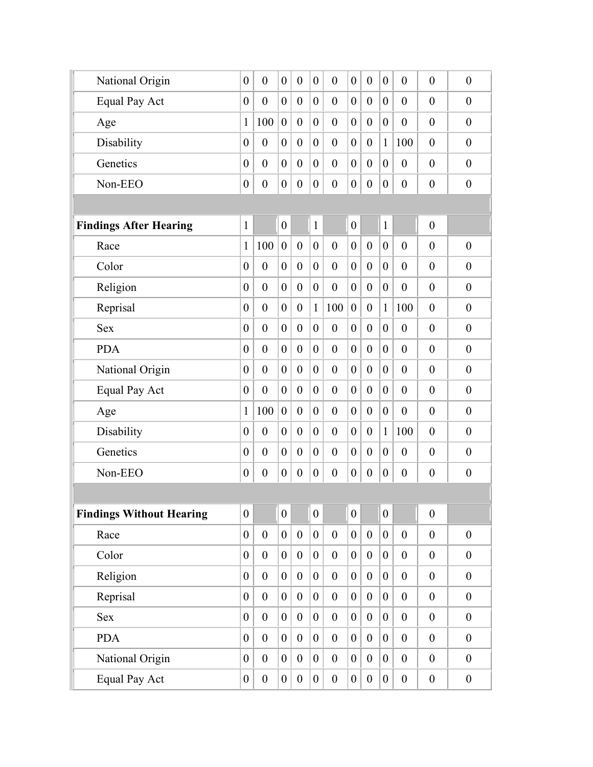| National Origin                 | $\theta$         | $\overline{0}$   | $\boldsymbol{0}$ | $\overline{0}$   | $\boldsymbol{0}$ | $\overline{0}$   | $\overline{0}$   | $\overline{0}$   | $\boldsymbol{0}$ | $\theta$         | $\theta$         | $\overline{0}$   |
|---------------------------------|------------------|------------------|------------------|------------------|------------------|------------------|------------------|------------------|------------------|------------------|------------------|------------------|
| <b>Equal Pay Act</b>            | $\theta$         | $\overline{0}$   | $\overline{0}$   | $\boldsymbol{0}$ | $\overline{0}$   | $\overline{0}$   | $\overline{0}$   | $\mathbf{0}$     | $\boldsymbol{0}$ | $\theta$         | $\overline{0}$   | $\boldsymbol{0}$ |
| Age                             | 1                | 100              | $\boldsymbol{0}$ | $\overline{0}$   | $\overline{0}$   | $\overline{0}$   | $\overline{0}$   | $\overline{0}$   | $\boldsymbol{0}$ | $\theta$         | $\overline{0}$   | $\overline{0}$   |
| Disability                      | $\overline{0}$   | $\overline{0}$   | $\overline{0}$   | $\overline{0}$   | $\theta$         | $\overline{0}$   | $\overline{0}$   | $\theta$         | $\mathbf{1}$     | 100              | $\overline{0}$   | $\overline{0}$   |
| Genetics                        | $\theta$         | $\overline{0}$   | $\boldsymbol{0}$ | $\overline{0}$   | $\boldsymbol{0}$ | $\overline{0}$   | $\boldsymbol{0}$ | $\theta$         | $\boldsymbol{0}$ | $\theta$         | $\theta$         | $\overline{0}$   |
| Non-EEO                         | $\boldsymbol{0}$ | $\boldsymbol{0}$ | $\boldsymbol{0}$ | $\boldsymbol{0}$ | $\boldsymbol{0}$ | $\boldsymbol{0}$ | $\boldsymbol{0}$ | $\boldsymbol{0}$ | $\boldsymbol{0}$ | $\boldsymbol{0}$ | $\boldsymbol{0}$ | $\boldsymbol{0}$ |
|                                 |                  |                  |                  |                  |                  |                  |                  |                  |                  |                  |                  |                  |
| <b>Findings After Hearing</b>   | $\mathbf{1}$     |                  | $\boldsymbol{0}$ |                  | $\mathbf{1}$     |                  | $\boldsymbol{0}$ |                  | $\mathbf{1}$     |                  | $\boldsymbol{0}$ |                  |
| Race                            | 1                | 100              | $\boldsymbol{0}$ | $\overline{0}$   | $\boldsymbol{0}$ | $\overline{0}$   | $\boldsymbol{0}$ | $\mathbf{0}$     | $\boldsymbol{0}$ | $\overline{0}$   | $\theta$         | $\overline{0}$   |
| Color                           | $\boldsymbol{0}$ | $\overline{0}$   | $\boldsymbol{0}$ | $\overline{0}$   | $\boldsymbol{0}$ | $\overline{0}$   | $\boldsymbol{0}$ | $\mathbf{0}$     | $\boldsymbol{0}$ | $\theta$         | $\boldsymbol{0}$ | $\theta$         |
| Religion                        | $\mathbf{0}$     | $\mathbf{0}$     | $\overline{0}$   | $\overline{0}$   | $\boldsymbol{0}$ | $\overline{0}$   | $\overline{0}$   | $\mathbf{0}$     | $\overline{0}$   | $\overline{0}$   | $\mathbf{0}$     | $\boldsymbol{0}$ |
| Reprisal                        | $\theta$         | $\theta$         | $\boldsymbol{0}$ | $\overline{0}$   | $\mathbf{1}$     | 100              | $\overline{0}$   | $\overline{0}$   | $\mathbf{1}$     | 100              | $\theta$         | $\overline{0}$   |
| <b>Sex</b>                      | $\theta$         | $\theta$         | $\overline{0}$   | $\overline{0}$   | $\theta$         | $\overline{0}$   | $\overline{0}$   | $\theta$         | $\overline{0}$   | $\theta$         | $\overline{0}$   | $\overline{0}$   |
| <b>PDA</b>                      | $\theta$         | $\overline{0}$   | $\boldsymbol{0}$ | $\overline{0}$   | $\boldsymbol{0}$ | $\overline{0}$   | $\boldsymbol{0}$ | $\theta$         | $\boldsymbol{0}$ | $\theta$         | $\overline{0}$   | $\overline{0}$   |
| National Origin                 | $\theta$         | $\overline{0}$   | $\overline{0}$   | $\overline{0}$   | $\overline{0}$   | $\overline{0}$   | $\overline{0}$   | $\mathbf{0}$     | $\overline{0}$   | $\overline{0}$   | $\overline{0}$   | $\boldsymbol{0}$ |
| Equal Pay Act                   | $\theta$         | $\overline{0}$   | $\boldsymbol{0}$ | $\overline{0}$   | $\overline{0}$   | $\overline{0}$   | $\boldsymbol{0}$ | $\theta$         | $\boldsymbol{0}$ | $\theta$         | $\theta$         | $\overline{0}$   |
| Age                             | 1                | 100              | $\boldsymbol{0}$ | $\overline{0}$   | $\overline{0}$   | $\overline{0}$   | $\overline{0}$   | $\overline{0}$   | $\boldsymbol{0}$ | $\theta$         | $\theta$         | $\theta$         |
| Disability                      | $\theta$         | $\overline{0}$   | $\boldsymbol{0}$ | $\overline{0}$   | $\overline{0}$   | $\overline{0}$   | $\overline{0}$   | $\theta$         | $\mathbf{1}$     | 100              | $\theta$         | $\overline{0}$   |
| Genetics                        | $\boldsymbol{0}$ | $\overline{0}$   | $\boldsymbol{0}$ | $\overline{0}$   | $\boldsymbol{0}$ | $\overline{0}$   | $\boldsymbol{0}$ | $\overline{0}$   | $\boldsymbol{0}$ | $\theta$         | $\boldsymbol{0}$ | $\overline{0}$   |
| Non-EEO                         | $\boldsymbol{0}$ | $\boldsymbol{0}$ | $\boldsymbol{0}$ | $\boldsymbol{0}$ | $\boldsymbol{0}$ | $\boldsymbol{0}$ | $\boldsymbol{0}$ | $\boldsymbol{0}$ | $\boldsymbol{0}$ | $\boldsymbol{0}$ | $\boldsymbol{0}$ | $\boldsymbol{0}$ |
|                                 |                  |                  |                  |                  |                  |                  |                  |                  |                  |                  |                  |                  |
| <b>Findings Without Hearing</b> | $\theta$         |                  | $\boldsymbol{0}$ |                  | $\overline{0}$   |                  | $\boldsymbol{0}$ |                  | $\boldsymbol{0}$ |                  | $\boldsymbol{0}$ |                  |
| Race                            | $\overline{0}$   | $\boldsymbol{0}$ | $\boldsymbol{0}$ | $\overline{0}$   | $\boldsymbol{0}$ | $\boldsymbol{0}$ | $\mathbf{0}$     | $\boldsymbol{0}$ | $\overline{0}$   | $\boldsymbol{0}$ | $\boldsymbol{0}$ | $\overline{0}$   |
| Color                           | $\theta$         | $\boldsymbol{0}$ | $\boldsymbol{0}$ | $\overline{0}$   | $\boldsymbol{0}$ | $\boldsymbol{0}$ | $\boldsymbol{0}$ | $\boldsymbol{0}$ | $\overline{0}$   | $\boldsymbol{0}$ | $\boldsymbol{0}$ | $\boldsymbol{0}$ |
| Religion                        | $\boldsymbol{0}$ | $\overline{0}$   | $\boldsymbol{0}$ | $\overline{0}$   | $\boldsymbol{0}$ | $\boldsymbol{0}$ | $\boldsymbol{0}$ | $\boldsymbol{0}$ | $\boldsymbol{0}$ | $\boldsymbol{0}$ | $\boldsymbol{0}$ | $\boldsymbol{0}$ |
| Reprisal                        | $\boldsymbol{0}$ | $\boldsymbol{0}$ | $\boldsymbol{0}$ | $\overline{0}$   | $\boldsymbol{0}$ | $\boldsymbol{0}$ | $\boldsymbol{0}$ | $\boldsymbol{0}$ | $\overline{0}$   | $\boldsymbol{0}$ | $\boldsymbol{0}$ | $\boldsymbol{0}$ |
| Sex                             | $\overline{0}$   | $\boldsymbol{0}$ | $\boldsymbol{0}$ | $\boldsymbol{0}$ | $\boldsymbol{0}$ | $\overline{0}$   | $\boldsymbol{0}$ | $\boldsymbol{0}$ | $\overline{0}$   | $\boldsymbol{0}$ | $\boldsymbol{0}$ | $\boldsymbol{0}$ |
| <b>PDA</b>                      | $\boldsymbol{0}$ | $\boldsymbol{0}$ | $\boldsymbol{0}$ | $\boldsymbol{0}$ | $\boldsymbol{0}$ | $\boldsymbol{0}$ | $\boldsymbol{0}$ | $\boldsymbol{0}$ | $\boldsymbol{0}$ | $\boldsymbol{0}$ | $\boldsymbol{0}$ | $\boldsymbol{0}$ |
| National Origin                 | $\boldsymbol{0}$ | $\boldsymbol{0}$ | $\boldsymbol{0}$ | $\boldsymbol{0}$ | $\boldsymbol{0}$ | $\boldsymbol{0}$ | $\boldsymbol{0}$ | $\boldsymbol{0}$ | $\boldsymbol{0}$ | $\boldsymbol{0}$ | $\boldsymbol{0}$ | $\boldsymbol{0}$ |
| <b>Equal Pay Act</b>            | $\boldsymbol{0}$ | $\boldsymbol{0}$ | $\boldsymbol{0}$ | $\boldsymbol{0}$ | $\boldsymbol{0}$ | $\overline{0}$   | $\boldsymbol{0}$ | $\boldsymbol{0}$ | $\boldsymbol{0}$ | $\boldsymbol{0}$ | $\boldsymbol{0}$ | $\boldsymbol{0}$ |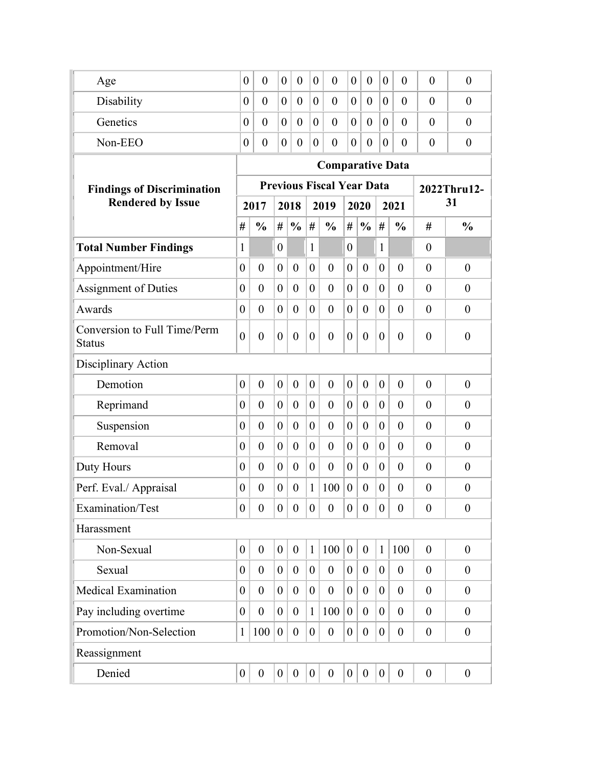| Age                                           | $\boldsymbol{0}$ | $\overline{0}$       | $\boldsymbol{0}$ | $\theta$         | $\boldsymbol{0}$ | $\overline{0}$                   | $\overline{0}$   | $\overline{0}$   | $\boldsymbol{0}$ | $\overline{0}$   | $\theta$         | $\overline{0}$   |  |
|-----------------------------------------------|------------------|----------------------|------------------|------------------|------------------|----------------------------------|------------------|------------------|------------------|------------------|------------------|------------------|--|
| Disability                                    | $\theta$         | $\overline{0}$       | $\overline{0}$   | $\theta$         | $\overline{0}$   | $\theta$                         | $\overline{0}$   | $\overline{0}$   | $\theta$         | $\theta$         | $\theta$         | $\theta$         |  |
| Genetics                                      | $\theta$         | $\theta$             | $\overline{0}$   | $\theta$         | $\theta$         | $\overline{0}$                   | $\theta$         | $\theta$         | $\theta$         | $\theta$         | $\theta$         | $\theta$         |  |
| Non-EEO                                       | $\theta$         | $\overline{0}$       | $\boldsymbol{0}$ | $\theta$         | $\theta$         | $\overline{0}$                   | $\overline{0}$   | $\overline{0}$   | $\overline{0}$   | $\theta$         | $\theta$         | $\overline{0}$   |  |
|                                               |                  |                      |                  |                  |                  | <b>Comparative Data</b>          |                  |                  |                  |                  |                  |                  |  |
| <b>Findings of Discrimination</b>             |                  |                      |                  |                  |                  | <b>Previous Fiscal Year Data</b> |                  |                  |                  |                  | 2022Thru12-      |                  |  |
| <b>Rendered by Issue</b>                      |                  | 2017<br>2018<br>2019 |                  |                  |                  | 2020                             |                  |                  | 2021             | 31               |                  |                  |  |
|                                               | #                | $\frac{0}{0}$        | #                | $\frac{0}{0}$    | #                | $\frac{0}{0}$                    | #                | $\frac{0}{0}$    | #                | $\frac{0}{0}$    | #                | $\frac{0}{0}$    |  |
| <b>Total Number Findings</b>                  | 1                |                      | $\overline{0}$   |                  | $\mathbf{1}$     |                                  | $\theta$         |                  | 1                |                  | $\theta$         |                  |  |
| Appointment/Hire                              | $\overline{0}$   | $\theta$             | $\overline{0}$   | $\theta$         | $\theta$         | $\overline{0}$                   | $\boldsymbol{0}$ | $\theta$         | $\overline{0}$   | $\overline{0}$   | $\overline{0}$   | $\boldsymbol{0}$ |  |
| <b>Assignment of Duties</b>                   | $\boldsymbol{0}$ | $\boldsymbol{0}$     | $\overline{0}$   | $\overline{0}$   | $\overline{0}$   | $\boldsymbol{0}$                 | $\boldsymbol{0}$ | $\boldsymbol{0}$ | $\overline{0}$   | $\theta$         | $\overline{0}$   | $\boldsymbol{0}$ |  |
| Awards                                        | $\overline{0}$   | $\theta$             | $\overline{0}$   | $\overline{0}$   | $\mathbf{0}$     | $\overline{0}$                   | $\overline{0}$   | $\theta$         | $\overline{0}$   | $\overline{0}$   | $\overline{0}$   | $\boldsymbol{0}$ |  |
| Conversion to Full Time/Perm<br><b>Status</b> | $\overline{0}$   | $\theta$             | $\overline{0}$   | $\overline{0}$   | $\theta$         | $\overline{0}$                   | $\overline{0}$   | $\theta$         | $\theta$         | $\overline{0}$   | $\overline{0}$   | $\overline{0}$   |  |
| Disciplinary Action                           |                  |                      |                  |                  |                  |                                  |                  |                  |                  |                  |                  |                  |  |
| Demotion                                      | $\overline{0}$   | $\mathbf{0}$         | $\overline{0}$   | $\overline{0}$   | $\theta$         | $\overline{0}$                   | $\boldsymbol{0}$ | $\boldsymbol{0}$ | $\overline{0}$   | $\overline{0}$   | $\overline{0}$   | $\boldsymbol{0}$ |  |
| Reprimand                                     | $\overline{0}$   | $\theta$             | $\overline{0}$   | $\overline{0}$   | $\overline{0}$   | $\overline{0}$                   | $\boldsymbol{0}$ | $\theta$         | $\overline{0}$   | $\overline{0}$   | $\overline{0}$   | $\theta$         |  |
| Suspension                                    | $\boldsymbol{0}$ | $\theta$             | $\overline{0}$   | $\overline{0}$   | $\overline{0}$   | $\overline{0}$                   | $\boldsymbol{0}$ | $\theta$         | $\overline{0}$   | $\overline{0}$   | $\overline{0}$   | $\boldsymbol{0}$ |  |
| Removal                                       | $\overline{0}$   | $\overline{0}$       | $\theta$         | $\overline{0}$   | $\overline{0}$   | $\overline{0}$                   | $\boldsymbol{0}$ | $\theta$         | $\theta$         | $\overline{0}$   | $\theta$         | $\theta$         |  |
| Duty Hours                                    | $\theta$         | $\theta$             | $\theta$         | $\overline{0}$   | $\mathbf{0}$     | $\overline{0}$                   | $\overline{0}$   | $\theta$         | $\overline{0}$   | $\overline{0}$   | $\theta$         | $\overline{0}$   |  |
| Perf. Eval./ Appraisal                        | $\theta$         | $\theta$             | $\theta$         | $\theta$         | $\mathbf{1}$     | 100                              | $\boldsymbol{0}$ | $\overline{0}$   | $\overline{0}$   | $\theta$         | $\overline{0}$   | $\overline{0}$   |  |
| Examination/Test                              | $\boldsymbol{0}$ | $\boldsymbol{0}$     | $\boldsymbol{0}$ | $\boldsymbol{0}$ | $\boldsymbol{0}$ | $\boldsymbol{0}$                 | $\boldsymbol{0}$ | $\boldsymbol{0}$ | $\overline{0}$   | $\boldsymbol{0}$ | $\boldsymbol{0}$ | $\boldsymbol{0}$ |  |
| Harassment                                    |                  |                      |                  |                  |                  |                                  |                  |                  |                  |                  |                  |                  |  |
| Non-Sexual                                    | $\boldsymbol{0}$ | $\boldsymbol{0}$     | $\overline{0}$   | $\boldsymbol{0}$ | $\mathbf{1}$     | 100                              | $\overline{0}$   | $\boldsymbol{0}$ | $\mathbf{1}$     | 100              | $\overline{0}$   | $\boldsymbol{0}$ |  |
| Sexual                                        | $\overline{0}$   | $\theta$             | $\overline{0}$   | $\theta$         | $\overline{0}$   | $\boldsymbol{0}$                 | $\boldsymbol{0}$ | $\boldsymbol{0}$ | $\overline{0}$   | $\boldsymbol{0}$ | $\overline{0}$   | $\theta$         |  |
| <b>Medical Examination</b>                    | $\overline{0}$   | $\theta$             | $\overline{0}$   | $\boldsymbol{0}$ | $\overline{0}$   | $\boldsymbol{0}$                 | $\overline{0}$   | $\boldsymbol{0}$ | $\overline{0}$   | $\boldsymbol{0}$ | $\overline{0}$   | $\theta$         |  |
| Pay including overtime                        | $\overline{0}$   | $\boldsymbol{0}$     | $\overline{0}$   | $\overline{0}$   | $\mathbf{1}$     | 100                              | $\boldsymbol{0}$ | $\overline{0}$   | $\overline{0}$   | $\boldsymbol{0}$ | $\overline{0}$   | $\boldsymbol{0}$ |  |
| Promotion/Non-Selection                       | 1                | 100                  | $\overline{0}$   | $\overline{0}$   | $\overline{0}$   | $\boldsymbol{0}$                 | $\boldsymbol{0}$ | $\boldsymbol{0}$ | $\overline{0}$   | $\boldsymbol{0}$ | $\theta$         | $\boldsymbol{0}$ |  |
| Reassignment                                  |                  |                      |                  |                  |                  |                                  |                  |                  |                  |                  |                  |                  |  |
| Denied                                        | $\boldsymbol{0}$ | $\boldsymbol{0}$     | $\boldsymbol{0}$ | $\boldsymbol{0}$ | $\overline{0}$   | $\boldsymbol{0}$                 | $\overline{0}$   | $\boldsymbol{0}$ | $\boldsymbol{0}$ | $\boldsymbol{0}$ | $\boldsymbol{0}$ | $\boldsymbol{0}$ |  |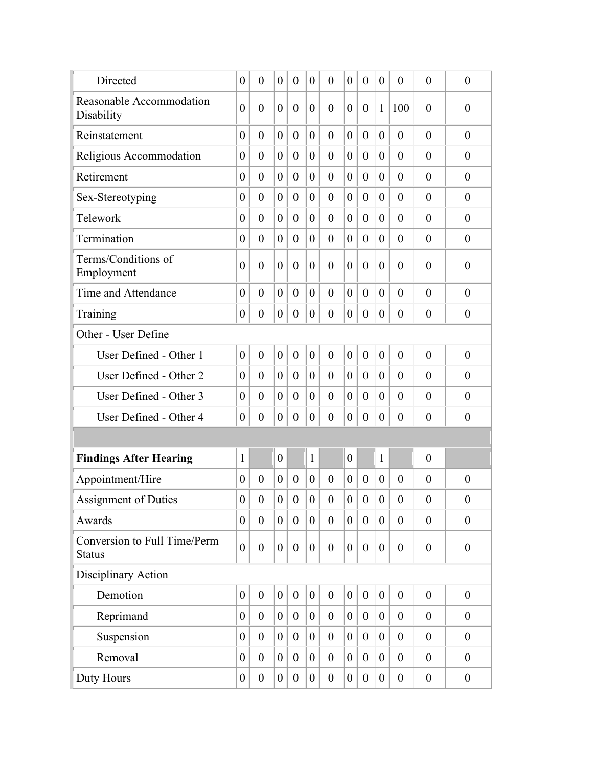| Directed                                      | $\overline{0}$   | $\theta$         | $\theta$         | $\overline{0}$   | $\overline{0}$   | $\overline{0}$   | $\theta$         | $\overline{0}$   | $\overline{0}$   | $\boldsymbol{0}$ | $\overline{0}$   | $\boldsymbol{0}$ |
|-----------------------------------------------|------------------|------------------|------------------|------------------|------------------|------------------|------------------|------------------|------------------|------------------|------------------|------------------|
| Reasonable Accommodation<br>Disability        | $\overline{0}$   | $\theta$         | $\overline{0}$   | $\overline{0}$   | $\theta$         | $\overline{0}$   | $\boldsymbol{0}$ | $\overline{0}$   | $\mathbf{1}$     | 100              | $\overline{0}$   | $\boldsymbol{0}$ |
| Reinstatement                                 | $\overline{0}$   | $\theta$         | $\theta$         | $\overline{0}$   | $\overline{0}$   | $\overline{0}$   | $\overline{0}$   | $\overline{0}$   | $\overline{0}$   | $\overline{0}$   | $\theta$         | $\theta$         |
| Religious Accommodation                       | $\overline{0}$   | $\theta$         | $\theta$         | $\overline{0}$   | $\theta$         | $\overline{0}$   | $\overline{0}$   | $\overline{0}$   | $\overline{0}$   | $\overline{0}$   | $\theta$         | $\overline{0}$   |
| Retirement                                    | $\boldsymbol{0}$ | $\theta$         | $\theta$         | $\boldsymbol{0}$ | $\overline{0}$   | $\overline{0}$   | $\boldsymbol{0}$ | $\overline{0}$   | $\overline{0}$   | $\theta$         | $\theta$         | $\overline{0}$   |
| Sex-Stereotyping                              | $\boldsymbol{0}$ | $\theta$         | $\overline{0}$   | $\overline{0}$   | $\overline{0}$   | $\overline{0}$   | $\theta$         | $\overline{0}$   | $\overline{0}$   | $\overline{0}$   | $\overline{0}$   | $\boldsymbol{0}$ |
| Telework                                      | $\theta$         | $\theta$         | $\overline{0}$   | $\theta$         | $\overline{0}$   | $\overline{0}$   | $\boldsymbol{0}$ | $\overline{0}$   | $\overline{0}$   | $\theta$         | $\theta$         | $\theta$         |
| Termination                                   | $\overline{0}$   | $\theta$         | $\theta$         | $\overline{0}$   | $\theta$         | $\overline{0}$   | $\theta$         | $\overline{0}$   | $\overline{0}$   | $\overline{0}$   | $\theta$         | $\overline{0}$   |
| Terms/Conditions of<br>Employment             | $\overline{0}$   | $\boldsymbol{0}$ | $\overline{0}$   | $\overline{0}$   | $\theta$         | $\boldsymbol{0}$ | $\overline{0}$   | $\overline{0}$   | $\overline{0}$   | $\overline{0}$   | $\overline{0}$   | $\boldsymbol{0}$ |
| Time and Attendance                           | $\overline{0}$   | $\theta$         | $\theta$         | $\theta$         | $\overline{0}$   | $\overline{0}$   | $\boldsymbol{0}$ | $\theta$         | $\overline{0}$   | $\theta$         | $\theta$         | $\overline{0}$   |
| Training                                      | $\boldsymbol{0}$ | $\boldsymbol{0}$ | $\overline{0}$   | $\overline{0}$   | $\overline{0}$   | $\overline{0}$   | $\boldsymbol{0}$ | $\boldsymbol{0}$ | $\overline{0}$   | $\overline{0}$   | $\overline{0}$   | $\boldsymbol{0}$ |
| Other - User Define                           |                  |                  |                  |                  |                  |                  |                  |                  |                  |                  |                  |                  |
| User Defined - Other 1                        | $\overline{0}$   | $\boldsymbol{0}$ | $\overline{0}$   | $\boldsymbol{0}$ | $\boldsymbol{0}$ | $\boldsymbol{0}$ | $\boldsymbol{0}$ | $\boldsymbol{0}$ | $\overline{0}$   | $\overline{0}$   | $\overline{0}$   | $\theta$         |
| User Defined - Other 2                        | $\overline{0}$   | $\theta$         | $\theta$         | $\overline{0}$   | $\overline{0}$   | $\overline{0}$   | $\theta$         | $\theta$         | $\overline{0}$   | $\overline{0}$   | $\overline{0}$   | $\overline{0}$   |
| User Defined - Other 3                        | $\overline{0}$   | $\theta$         | $\overline{0}$   | $\theta$         | $\overline{0}$   | $\overline{0}$   | $\theta$         | $\overline{0}$   | $\overline{0}$   | $\theta$         | $\theta$         | $\overline{0}$   |
| User Defined - Other 4                        | $\boldsymbol{0}$ | $\boldsymbol{0}$ | $\overline{0}$   | $\boldsymbol{0}$ | $\overline{0}$   | $\boldsymbol{0}$ | $\boldsymbol{0}$ | $\boldsymbol{0}$ | $\overline{0}$   | $\overline{0}$   | $\theta$         | $\boldsymbol{0}$ |
|                                               |                  |                  |                  |                  |                  |                  |                  |                  |                  |                  |                  |                  |
| <b>Findings After Hearing</b>                 | $\mathbf{1}$     |                  | $\overline{0}$   |                  | $\mathbf{1}$     |                  | $\boldsymbol{0}$ |                  | 1                |                  | $\overline{0}$   |                  |
| Appointment/Hire                              | $\overline{0}$   | $\theta$         | $\theta$         | $\theta$         | $\theta$         | $\overline{0}$   | $\overline{0}$   | $\theta$         | $\overline{0}$   | $\theta$         | $\theta$         | $\boldsymbol{0}$ |
| Assignment of Duties                          | $\overline{0}$   | $\boldsymbol{0}$ | $\overline{0}$   | $\boldsymbol{0}$ | $\mathbf{0}$     | $\boldsymbol{0}$ | $\overline{0}$   | $\overline{0}$   | $\boldsymbol{0}$ | $\boldsymbol{0}$ | $\overline{0}$   | $\boldsymbol{0}$ |
| Awards                                        | $\boldsymbol{0}$ | $\boldsymbol{0}$ | $\boldsymbol{0}$ | $\boldsymbol{0}$ | $\overline{0}$   | $\boldsymbol{0}$ | $\overline{0}$   | $\boldsymbol{0}$ | $\overline{0}$   | $\boldsymbol{0}$ | $\theta$         | $\boldsymbol{0}$ |
| Conversion to Full Time/Perm<br><b>Status</b> | $\overline{0}$   | $\boldsymbol{0}$ | $\overline{0}$   | $\boldsymbol{0}$ | $\overline{0}$   | $\boldsymbol{0}$ | $\boldsymbol{0}$ | $\boldsymbol{0}$ | $\overline{0}$   | $\boldsymbol{0}$ | $\theta$         | $\boldsymbol{0}$ |
| Disciplinary Action                           |                  |                  |                  |                  |                  |                  |                  |                  |                  |                  |                  |                  |
| Demotion                                      | $\boldsymbol{0}$ | $\boldsymbol{0}$ | $\boldsymbol{0}$ | $\boldsymbol{0}$ | $\boldsymbol{0}$ | $\boldsymbol{0}$ | $\boldsymbol{0}$ | $\boldsymbol{0}$ | $\overline{0}$   | $\boldsymbol{0}$ | $\boldsymbol{0}$ | $\boldsymbol{0}$ |
| Reprimand                                     | $\boldsymbol{0}$ | $\boldsymbol{0}$ | $\overline{0}$   | $\boldsymbol{0}$ | $\overline{0}$   | $\boldsymbol{0}$ | $\boldsymbol{0}$ | $\boldsymbol{0}$ | $\overline{0}$   | $\boldsymbol{0}$ | $\boldsymbol{0}$ | $\boldsymbol{0}$ |
| Suspension                                    | $\boldsymbol{0}$ | $\boldsymbol{0}$ | $\overline{0}$   | $\boldsymbol{0}$ | $\overline{0}$   | $\boldsymbol{0}$ | $\boldsymbol{0}$ | $\boldsymbol{0}$ | $\overline{0}$   | $\boldsymbol{0}$ | $\boldsymbol{0}$ | $\boldsymbol{0}$ |
| Removal                                       | $\boldsymbol{0}$ | $\boldsymbol{0}$ | $\overline{0}$   | $\boldsymbol{0}$ | $\overline{0}$   | $\boldsymbol{0}$ | $\boldsymbol{0}$ | $\boldsymbol{0}$ | $\overline{0}$   | $\boldsymbol{0}$ | $\boldsymbol{0}$ | $\boldsymbol{0}$ |
| Duty Hours                                    | $\boldsymbol{0}$ | $\boldsymbol{0}$ | $\overline{0}$   | $\boldsymbol{0}$ | $\mathbf{0}$     | $\boldsymbol{0}$ | $\boldsymbol{0}$ | $\boldsymbol{0}$ | $\overline{0}$   | $\boldsymbol{0}$ | $\boldsymbol{0}$ | $\boldsymbol{0}$ |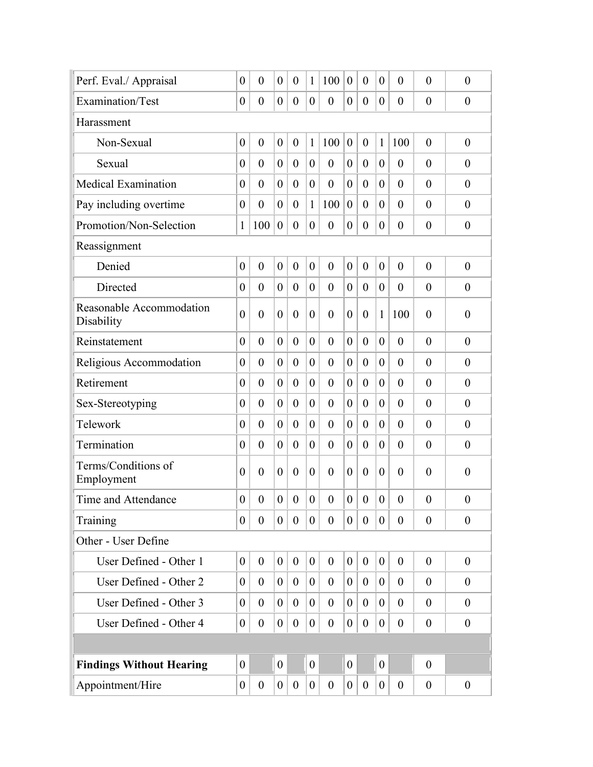| Perf. Eval./ Appraisal                 | $\boldsymbol{0}$ | $\overline{0}$   | $\overline{0}$   | $\boldsymbol{0}$ | $\mathbf{1}$   | 100              | $\boldsymbol{0}$ | $\overline{0}$   | $\overline{0}$ | $\boldsymbol{0}$ | $\overline{0}$ | $\boldsymbol{0}$ |
|----------------------------------------|------------------|------------------|------------------|------------------|----------------|------------------|------------------|------------------|----------------|------------------|----------------|------------------|
| Examination/Test                       | $\boldsymbol{0}$ | $\boldsymbol{0}$ | $\boldsymbol{0}$ | $\boldsymbol{0}$ | $\theta$       | $\boldsymbol{0}$ | $\boldsymbol{0}$ | $\overline{0}$   | $\overline{0}$ | $\theta$         | $\theta$       | $\overline{0}$   |
| Harassment                             |                  |                  |                  |                  |                |                  |                  |                  |                |                  |                |                  |
| Non-Sexual                             | $\boldsymbol{0}$ | $\boldsymbol{0}$ | $\overline{0}$   | $\boldsymbol{0}$ | $\mathbf{1}$   | 100              | $\boldsymbol{0}$ | $\mathbf{0}$     | $\mathbf{1}$   | 100              | $\theta$       | $\boldsymbol{0}$ |
| Sexual                                 | $\boldsymbol{0}$ | $\theta$         | $\theta$         | $\overline{0}$   | $\overline{0}$ | $\boldsymbol{0}$ | $\boldsymbol{0}$ | $\boldsymbol{0}$ | $\overline{0}$ | $\overline{0}$   | $\overline{0}$ | $\boldsymbol{0}$ |
| <b>Medical Examination</b>             | $\boldsymbol{0}$ | $\overline{0}$   | $\theta$         | $\overline{0}$   | $\overline{0}$ | $\boldsymbol{0}$ | $\theta$         | $\overline{0}$   | $\overline{0}$ | $\overline{0}$   | $\theta$       | $\overline{0}$   |
| Pay including overtime                 | $\boldsymbol{0}$ | $\theta$         | $\theta$         | $\boldsymbol{0}$ | 1              | 100              | $\boldsymbol{0}$ | $\overline{0}$   | $\overline{0}$ | $\overline{0}$   | $\theta$       | $\overline{0}$   |
| Promotion/Non-Selection                | $\mathbf{1}$     | 100              | $\boldsymbol{0}$ | $\boldsymbol{0}$ | $\overline{0}$ | $\boldsymbol{0}$ | $\boldsymbol{0}$ | $\boldsymbol{0}$ | $\overline{0}$ | $\boldsymbol{0}$ | $\overline{0}$ | $\boldsymbol{0}$ |
| Reassignment                           |                  |                  |                  |                  |                |                  |                  |                  |                |                  |                |                  |
| Denied                                 | $\overline{0}$   | $\mathbf{0}$     | $\overline{0}$   | $\overline{0}$   | $\mathbf{0}$   | $\boldsymbol{0}$ | $\boldsymbol{0}$ | $\overline{0}$   | $\theta$       | $\overline{0}$   | $\theta$       | $\boldsymbol{0}$ |
| Directed                               | $\overline{0}$   | $\theta$         | $\theta$         | $\overline{0}$   | $\theta$       | $\overline{0}$   | $\theta$         | $\overline{0}$   | $\overline{0}$ | $\overline{0}$   | $\theta$       | $\theta$         |
| Reasonable Accommodation<br>Disability | $\boldsymbol{0}$ | $\overline{0}$   | $\overline{0}$   | $\boldsymbol{0}$ | $\overline{0}$ | $\boldsymbol{0}$ | $\overline{0}$   | $\boldsymbol{0}$ | $\mathbf{1}$   | 100              | $\overline{0}$ | $\boldsymbol{0}$ |
| Reinstatement                          | $\overline{0}$   | $\overline{0}$   | $\overline{0}$   | $\overline{0}$   | $\overline{0}$ | $\overline{0}$   | $\overline{0}$   | $\overline{0}$   | $\overline{0}$ | $\overline{0}$   | $\theta$       | $\overline{0}$   |
| Religious Accommodation                | $\boldsymbol{0}$ | $\theta$         | $\theta$         | $\overline{0}$   | $\overline{0}$ | $\overline{0}$   | $\boldsymbol{0}$ | $\overline{0}$   | $\theta$       | $\overline{0}$   | $\theta$       | $\overline{0}$   |
| Retirement                             | $\boldsymbol{0}$ | $\overline{0}$   | $\overline{0}$   | $\overline{0}$   | $\theta$       | $\overline{0}$   | $\boldsymbol{0}$ | $\overline{0}$   | $\overline{0}$ | $\overline{0}$   | $\theta$       | $\boldsymbol{0}$ |
| Sex-Stereotyping                       | $\boldsymbol{0}$ | $\overline{0}$   | $\theta$         | $\boldsymbol{0}$ | $\overline{0}$ | $\boldsymbol{0}$ | $\boldsymbol{0}$ | $\overline{0}$   | $\overline{0}$ | $\theta$         | $\theta$       | $\theta$         |
| Telework                               | $\boldsymbol{0}$ | $\overline{0}$   | $\theta$         | $\overline{0}$   | $\theta$       | $\overline{0}$   | $\overline{0}$   | $\overline{0}$   | $\overline{0}$ | $\overline{0}$   | $\overline{0}$ | $\overline{0}$   |
| Termination                            | $\boldsymbol{0}$ | $\theta$         | $\theta$         | $\overline{0}$   | $\overline{0}$ | $\overline{0}$   | $\boldsymbol{0}$ | $\overline{0}$   | $\overline{0}$ | $\boldsymbol{0}$ | $\theta$       | $\overline{0}$   |
| Terms/Conditions of<br>Employment      | $\overline{0}$   | $\boldsymbol{0}$ | $\overline{0}$   | $\overline{0}$   | $\theta$       | $\boldsymbol{0}$ | $\overline{0}$   | $\overline{0}$   | $\theta$       | $\overline{0}$   | $\overline{0}$ | $\boldsymbol{0}$ |
| Time and Attendance                    | $\boldsymbol{0}$ | $\boldsymbol{0}$ | $\overline{0}$   | $\boldsymbol{0}$ | $\overline{0}$ | $\overline{0}$   | $\overline{0}$   | $\overline{0}$   | $\overline{0}$ | $\overline{0}$   | $\overline{0}$ | $\boldsymbol{0}$ |
| Training                               | $\overline{0}$   | $\overline{0}$   | $\overline{0}$   | $\overline{0}$   | $\theta$       | $\mathbf{0}$     | $\overline{0}$   | $\overline{0}$   | $\theta$       | $\overline{0}$   | $\theta$       | $\theta$         |
| Other - User Define                    |                  |                  |                  |                  |                |                  |                  |                  |                |                  |                |                  |
| User Defined - Other 1                 | $\overline{0}$   | $\overline{0}$   | $\overline{0}$   | $\theta$         | $\mathbf{0}$   | $\overline{0}$   | $\boldsymbol{0}$ | $\theta$         | $\overline{0}$ | $\overline{0}$   | $\overline{0}$ | $\theta$         |
| User Defined - Other 2                 | $\theta$         | $\overline{0}$   | $\overline{0}$   | $\overline{0}$   | $\theta$       | $\theta$         | $\overline{0}$   | $\overline{0}$   | $\overline{0}$ | $\theta$         | $\overline{0}$ | $\overline{0}$   |
| User Defined - Other 3                 | $\overline{0}$   | $\boldsymbol{0}$ | $\overline{0}$   | $\overline{0}$   | $\overline{0}$ | $\overline{0}$   | $\theta$         | $\theta$         | $\overline{0}$ | $\boldsymbol{0}$ | $\theta$       | $\theta$         |
| User Defined - Other 4                 | $\theta$         | $\boldsymbol{0}$ | $\overline{0}$   | $\overline{0}$   | $\overline{0}$ | $\boldsymbol{0}$ | $\overline{0}$   | $\boldsymbol{0}$ | $\overline{0}$ | $\overline{0}$   | $\theta$       | $\boldsymbol{0}$ |
|                                        |                  |                  |                  |                  |                |                  |                  |                  |                |                  |                |                  |
| <b>Findings Without Hearing</b>        | $\overline{0}$   |                  | $\overline{0}$   |                  | $\overline{0}$ |                  | $\overline{0}$   |                  | $\overline{0}$ |                  | $\theta$       |                  |
| Appointment/Hire                       | $\boldsymbol{0}$ | $\boldsymbol{0}$ | $\overline{0}$   | $\mathbf{0}$     | $\overline{0}$ | $\boldsymbol{0}$ | $\mathbf{0}$     | $\overline{0}$   | $\mathbf{0}$   | $\boldsymbol{0}$ | $\overline{0}$ | $\overline{0}$   |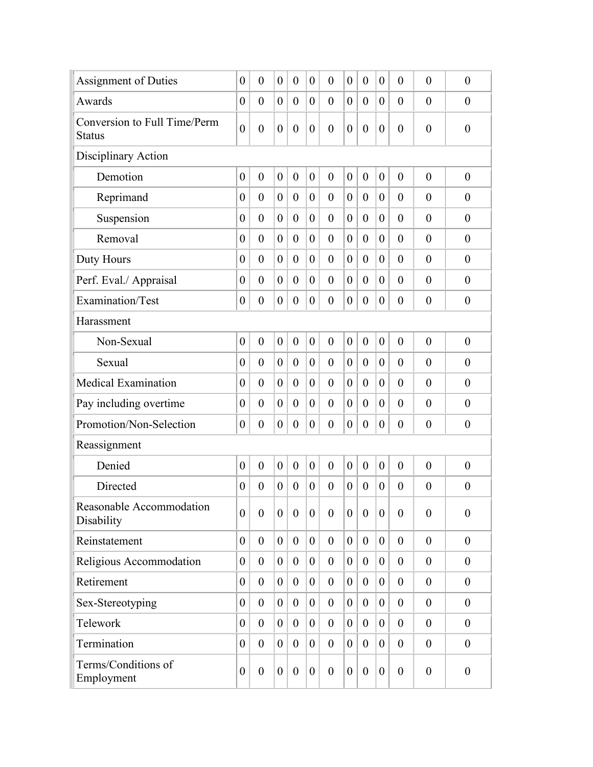| <b>Assignment of Duties</b>                   | $\boldsymbol{0}$ | $\overline{0}$   | $\overline{0}$   | $\boldsymbol{0}$ | $\overline{0}$   | $\boldsymbol{0}$ | $\boldsymbol{0}$ | $\boldsymbol{0}$ | $\theta$         | $\overline{0}$   | $\overline{0}$ | $\boldsymbol{0}$ |
|-----------------------------------------------|------------------|------------------|------------------|------------------|------------------|------------------|------------------|------------------|------------------|------------------|----------------|------------------|
| Awards                                        | $\overline{0}$   | $\overline{0}$   | $\overline{0}$   | $\overline{0}$   | $\overline{0}$   | $\overline{0}$   | $\boldsymbol{0}$ | $\theta$         | $\overline{0}$   | $\theta$         | $\theta$       | $\theta$         |
| Conversion to Full Time/Perm<br><b>Status</b> | $\overline{0}$   | $\boldsymbol{0}$ | $\boldsymbol{0}$ | $\boldsymbol{0}$ | $\boldsymbol{0}$ | $\boldsymbol{0}$ | $\boldsymbol{0}$ | $\boldsymbol{0}$ | $\boldsymbol{0}$ | $\boldsymbol{0}$ | $\overline{0}$ | $\boldsymbol{0}$ |
| Disciplinary Action                           |                  |                  |                  |                  |                  |                  |                  |                  |                  |                  |                |                  |
| Demotion                                      | $\boldsymbol{0}$ | $\boldsymbol{0}$ | $\boldsymbol{0}$ | $\boldsymbol{0}$ | $\boldsymbol{0}$ | $\boldsymbol{0}$ | $\boldsymbol{0}$ | $\boldsymbol{0}$ | $\boldsymbol{0}$ | $\boldsymbol{0}$ | $\theta$       | $\boldsymbol{0}$ |
| Reprimand                                     | $\boldsymbol{0}$ | $\overline{0}$   | $\overline{0}$   | $\theta$         | $\mathbf{0}$     | $\overline{0}$   | $\boldsymbol{0}$ | $\mathbf{0}$     | $\overline{0}$   | $\overline{0}$   | $\overline{0}$ | $\boldsymbol{0}$ |
| Suspension                                    | $\boldsymbol{0}$ | $\overline{0}$   | $\theta$         | $\boldsymbol{0}$ | $\overline{0}$   | $\boldsymbol{0}$ | $\boldsymbol{0}$ | $\theta$         | $\overline{0}$   | $\boldsymbol{0}$ | $\theta$       | $\overline{0}$   |
| Removal                                       | $\boldsymbol{0}$ | $\overline{0}$   | $\theta$         | $\boldsymbol{0}$ | $\boldsymbol{0}$ | $\overline{0}$   | 0                | $\boldsymbol{0}$ | $\overline{0}$   | $\overline{0}$   | $\theta$       | $\overline{0}$   |
| Duty Hours                                    | $\boldsymbol{0}$ | $\overline{0}$   | $\theta$         | $\boldsymbol{0}$ | $\overline{0}$   | $\overline{0}$   | $\boldsymbol{0}$ | $\theta$         | $\theta$         | $\boldsymbol{0}$ | $\overline{0}$ | $\overline{0}$   |
| Perf. Eval./ Appraisal                        | $\boldsymbol{0}$ | $\boldsymbol{0}$ | $\overline{0}$   | $\boldsymbol{0}$ | $\overline{0}$   | $\boldsymbol{0}$ | $\boldsymbol{0}$ | $\boldsymbol{0}$ | $\overline{0}$   | $\theta$         | $\theta$       | $\boldsymbol{0}$ |
| Examination/Test                              | $\boldsymbol{0}$ | $\boldsymbol{0}$ | $\boldsymbol{0}$ | $\boldsymbol{0}$ | $\overline{0}$   | $\boldsymbol{0}$ | $\boldsymbol{0}$ | $\boldsymbol{0}$ | $\overline{0}$   | $\boldsymbol{0}$ | $\theta$       | $\boldsymbol{0}$ |
| Harassment                                    |                  |                  |                  |                  |                  |                  |                  |                  |                  |                  |                |                  |
| Non-Sexual                                    | $\boldsymbol{0}$ | $\overline{0}$   | $\overline{0}$   | $\overline{0}$   | $\mathbf{0}$     | $\overline{0}$   | $\boldsymbol{0}$ | $\mathbf{0}$     | $\overline{0}$   | $\overline{0}$   | $\theta$       | $\boldsymbol{0}$ |
| Sexual                                        | $\boldsymbol{0}$ | $\overline{0}$   | $\theta$         | $\boldsymbol{0}$ | $\overline{0}$   | $\boldsymbol{0}$ | $\boldsymbol{0}$ | $\theta$         | $\overline{0}$   | $\overline{0}$   | $\theta$       | $\overline{0}$   |
| <b>Medical Examination</b>                    | $\boldsymbol{0}$ | $\overline{0}$   | $\theta$         | $\theta$         | $\mathbf{0}$     | $\boldsymbol{0}$ | $\boldsymbol{0}$ | $\theta$         | $\overline{0}$   | $\overline{0}$   | $\overline{0}$ | $\boldsymbol{0}$ |
| Pay including overtime                        | $\boldsymbol{0}$ | $\overline{0}$   | $\theta$         | $\overline{0}$   | $\overline{0}$   | $\boldsymbol{0}$ | $\boldsymbol{0}$ | $\theta$         | $\overline{0}$   | $\theta$         | $\theta$       | $\theta$         |
| Promotion/Non-Selection                       | $\boldsymbol{0}$ | $\boldsymbol{0}$ | $\boldsymbol{0}$ | $\boldsymbol{0}$ | $\overline{0}$   | $\boldsymbol{0}$ | $\boldsymbol{0}$ | $\boldsymbol{0}$ | $\overline{0}$   | $\overline{0}$   | $\theta$       | $\boldsymbol{0}$ |
| Reassignment                                  |                  |                  |                  |                  |                  |                  |                  |                  |                  |                  |                |                  |
| Denied                                        | $\boldsymbol{0}$ | $\boldsymbol{0}$ | $\boldsymbol{0}$ | $\boldsymbol{0}$ | $\boldsymbol{0}$ | $\boldsymbol{0}$ | $\boldsymbol{0}$ | $\boldsymbol{0}$ | $\boldsymbol{0}$ | $\boldsymbol{0}$ | $\overline{0}$ | $\boldsymbol{0}$ |
| Directed                                      | $\boldsymbol{0}$ | $\boldsymbol{0}$ | $\boldsymbol{0}$ | $\boldsymbol{0}$ | $\boldsymbol{0}$ | $\boldsymbol{0}$ | $\boldsymbol{0}$ | $\boldsymbol{0}$ | $\boldsymbol{0}$ | $\boldsymbol{0}$ | $\overline{0}$ | $\boldsymbol{0}$ |
| Reasonable Accommodation<br>Disability        | $\overline{0}$   | $\boldsymbol{0}$ | $\boldsymbol{0}$ | $\boldsymbol{0}$ | $\boldsymbol{0}$ | $\boldsymbol{0}$ | $\boldsymbol{0}$ | $\boldsymbol{0}$ | $\theta$         | $\overline{0}$   | $\overline{0}$ | $\boldsymbol{0}$ |
| Reinstatement                                 | $\overline{0}$   | $\overline{0}$   | $\overline{0}$   | $\theta$         | $\overline{0}$   | $\overline{0}$   | $\overline{0}$   | $\theta$         | $\overline{0}$   | $\overline{0}$   | $\mathbf{0}$   | $\theta$         |
| Religious Accommodation                       | $\overline{0}$   | $\overline{0}$   | $\overline{0}$   | $\theta$         | $\overline{0}$   | $\overline{0}$   | $\overline{0}$   | $\theta$         | $\overline{0}$   | $\boldsymbol{0}$ | $\theta$       | $\theta$         |
| Retirement                                    | $\overline{0}$   | $\overline{0}$   | $\overline{0}$   | $\boldsymbol{0}$ | $\overline{0}$   | $\boldsymbol{0}$ | $\overline{0}$   | $\boldsymbol{0}$ | $\overline{0}$   | $\boldsymbol{0}$ | $\theta$       | $\theta$         |
| Sex-Stereotyping                              | $\overline{0}$   | $\boldsymbol{0}$ | $\overline{0}$   | $\theta$         | $\overline{0}$   | $\overline{0}$   | $\overline{0}$   | $\theta$         | $\overline{0}$   | $\boldsymbol{0}$ | $\theta$       | $\boldsymbol{0}$ |
| Telework                                      | $\overline{0}$   | $\theta$         | $\overline{0}$   | $\overline{0}$   | $\overline{0}$   | $\boldsymbol{0}$ | $\overline{0}$   | $\theta$         | $\overline{0}$   | $\overline{0}$   | $\theta$       | $\theta$         |
| Termination                                   | $\overline{0}$   | $\overline{0}$   | $\theta$         | $\theta$         | $\overline{0}$   | $\overline{0}$   | $\overline{0}$   | $\theta$         | $\overline{0}$   | $\overline{0}$   | $\mathbf{0}$   | $\boldsymbol{0}$ |
| Terms/Conditions of<br>Employment             | $\overline{0}$   | $\boldsymbol{0}$ | $\overline{0}$   | $\boldsymbol{0}$ | $\theta$         | $\boldsymbol{0}$ | $\boldsymbol{0}$ | $\theta$         | $\overline{0}$   | $\boldsymbol{0}$ | $\theta$       | $\boldsymbol{0}$ |